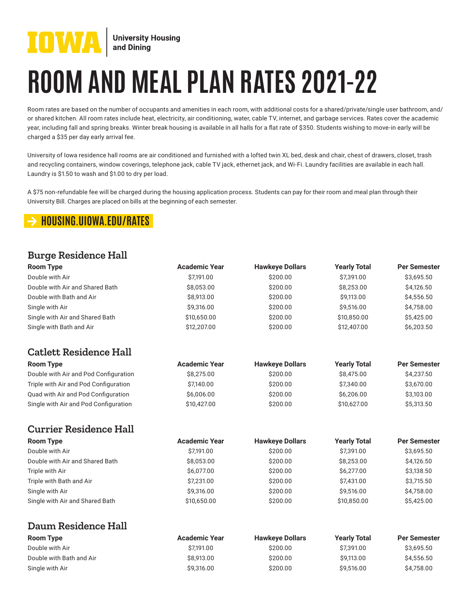

# **ROOM AND MEAL PLAN RATES 2021-22**

Room rates are based on the number of occupants and amenities in each room, with additional costs for a shared/private/single user bathroom, and/ or shared kitchen. All room rates include heat, electricity, air conditioning, water, cable TV, internet, and garbage services. Rates cover the academic year, including fall and spring breaks. Winter break housing is available in all halls for a flat rate of \$350. Students wishing to move-in early will be charged a \$35 per day early arrival fee.

University of Iowa residence hall rooms are air conditioned and furnished with a lofted twin XL bed, desk and chair, chest of drawers, closet, trash and recycling containers, window coverings, telephone jack, cable TV jack, ethernet jack, and Wi-Fi. Laundry facilities are available in each hall. Laundry is \$1.50 to wash and \$1.00 to dry per load.

A \$75 non-refundable fee will be charged during the housing application process. Students can pay for their room and meal plan through their University Bill. Charges are placed on bills at the beginning of each semester.

## arrow-right **HOUSING.UIOWA.EDU/RATES**

#### **Burge Residence Hall**

| <b>Room Type</b>                      | <b>Academic Year</b> | <b>Hawkeye Dollars</b> | <b>Yearly Total</b> | <b>Per Semester</b> |
|---------------------------------------|----------------------|------------------------|---------------------|---------------------|
| Double with Air                       | \$7,191.00           | \$200.00               | \$7,391.00          | \$3,695.50          |
| Double with Air and Shared Bath       | \$8,053.00           | \$200.00               | \$8,253.00          | \$4,126.50          |
| Double with Bath and Air              | \$8,913.00           | \$200.00               | \$9,113.00          | \$4,556.50          |
| Single with Air                       | \$9,316.00           | \$200.00               | \$9,516.00          | \$4,758.00          |
| Single with Air and Shared Bath       | \$10,650.00          | \$200.00               | \$10,850.00         | \$5,425.00          |
| Single with Bath and Air              | \$12,207.00          | \$200.00               | \$12,407.00         | \$6,203.50          |
| <b>Catlett Residence Hall</b>         |                      |                        |                     |                     |
| <b>Room Type</b>                      | <b>Academic Year</b> | <b>Hawkeye Dollars</b> | <b>Yearly Total</b> | <b>Per Semester</b> |
| Double with Air and Pod Configuration | \$8,275.00           | \$200.00               | \$8,475.00          | \$4,237.50          |
| Triple with Air and Pod Configuration | \$7,140.00           | \$200.00               | \$7,340.00          | \$3,670.00          |
| Quad with Air and Pod Configuration   | \$6,006.00           | \$200.00               | \$6,206.00          | \$3,103.00          |
| Single with Air and Pod Configuration | \$10,427.00          | \$200.00               | \$10,627.00         | \$5,313.50          |
| <b>Currier Residence Hall</b>         |                      |                        |                     |                     |
| <b>Room Type</b>                      | <b>Academic Year</b> | <b>Hawkeye Dollars</b> | <b>Yearly Total</b> | <b>Per Semester</b> |
| Double with Air                       | \$7,191.00           | \$200.00               | \$7,391.00          | \$3,695.50          |
| Double with Air and Shared Bath       | \$8,053.00           | \$200.00               | \$8,253.00          | \$4,126.50          |
| Triple with Air                       | \$6,077.00           | \$200.00               | \$6,277.00          | \$3,138.50          |
| Triple with Bath and Air              | \$7,231.00           | \$200.00               | \$7,431.00          | \$3,715.50          |
| Single with Air                       | \$9,316.00           | \$200.00               | \$9,516.00          | \$4,758.00          |
| Single with Air and Shared Bath       | \$10,650.00          | \$200.00               | \$10,850.00         | \$5,425.00          |
| <b>Daum Residence Hall</b>            |                      |                        |                     |                     |
| <b>Room Type</b>                      | <b>Academic Year</b> | <b>Hawkeye Dollars</b> | <b>Yearly Total</b> | <b>Per Semester</b> |
| Double with Air                       | \$7,191.00           | \$200.00               | \$7,391.00          | \$3,695.50          |
| Double with Bath and Air              | \$8,913.00           | \$200.00               | \$9,113.00          | \$4,556.50          |
| Single with Air                       | \$9,316.00           | \$200.00               | \$9,516.00          | \$4,758.00          |
|                                       |                      |                        |                     |                     |